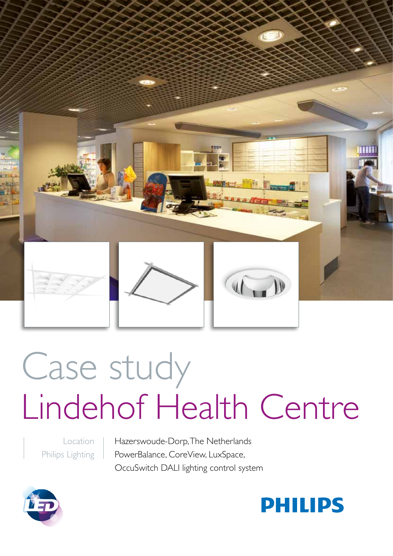

# Case study Lindehof Health Centre

Location Philips Lighting

Hazerswoude-Dorp, The Netherlands PowerBalance, CoreView, LuxSpace, OccuSwitch DALI lighting control system



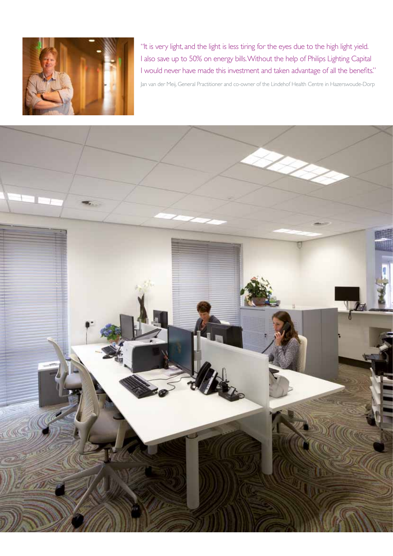

"It is very light, and the light is less tiring for the eyes due to the high light yield. I also save up to 50% on energy bills. Without the help of Philips Lighting Capital I would never have made this investment and taken advantage of all the benefits."

Jan van der Meij, General Practitioner and co-owner of the Lindehof Health Centre in Hazerswoude-Dorp

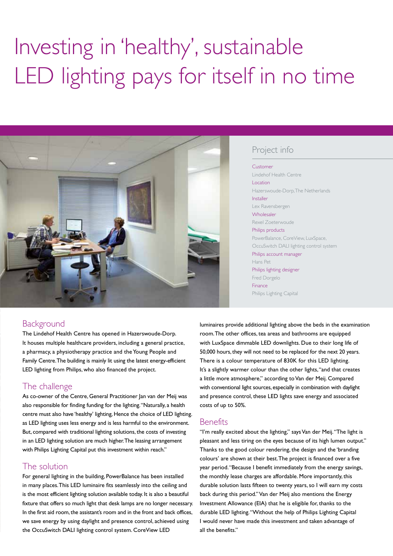## Investing in 'healthy', sustainable LED lighting pays for itself in no time



#### Project info

#### Customer Lindehof Health Centre **Location** Hazerswoude-Dorp, The Netherlands Installer Lex Ravensbergen Wholesaler Rexel Zoeterwoude Philips products PowerBalance, CoreView, LuxSpace, OccuSwitch DALI lighting control system

Philips account manager Hans Pet Philips lighting designer Fred Dorgelo Finance Philips Lighting Capital

#### Background

The Lindehof Health Centre has opened in Hazerswoude-Dorp. It houses multiple healthcare providers, including a general practice, a pharmacy, a physiotherapy practice and the Young People and Family Centre. The building is mainly lit using the latest energy-efficient LED lighting from Philips, who also financed the project.

#### The challenge

As co-owner of the Centre, General Practitioner Jan van der Meij was also responsible for finding funding for the lighting. "Naturally, a health centre must also have 'healthy' lighting, Hence the choice of LED lighting. as LED lighting uses less energy and is less harmful to the environment. But, compared with traditional lighting solutions, the costs of investing in an LED lighting solution are much higher. The leasing arrangement with Philips Lighting Capital put this investment within reach."

### The solution

For general lighting in the building, PowerBalance has been installed in many places. This LED luminaire fits seamlessly into the ceiling and is the most efficient lighting solution available today. It is also a beautiful fixture that offers so much light that desk lamps are no longer necessary. In the first aid room, the assistant's room and in the front and back offices, we save energy by using daylight and presence control, achieved using the OccuSwitch DALI lighting control system. CoreView LED

luminaires provide additional lighting above the beds in the examination room. The other offices, tea areas and bathrooms are equipped with LuxSpace dimmable LED downlights. Due to their long life of 50,000 hours, they will not need to be replaced for the next 20 years. There is a colour temperature of 830K for this LED lighting. It's a slightly warmer colour than the other lights, "and that creates a little more atmosphere," according to Van der Meij. Compared with conventional light sources, especially in combination with daylight and presence control, these LED lights save energy and associated costs of up to 50%.

#### **Benefits**

"I'm really excited about the lighting," says Van der Meij. "The light is pleasant and less tiring on the eyes because of its high lumen output." Thanks to the good colour rendering, the design and the 'branding colours' are shown at their best. The project is financed over a five year period. "Because I benefit immediately from the energy savings, the monthly lease charges are affordable. More importantly, this durable solution lasts fifteen to twenty years, so I will earn my costs back during this period." Van der Meij also mentions the Energy Investment Allowance (EIA) that he is eligible for, thanks to the durable LED lighting. "Without the help of Philips Lighting Capital I would never have made this investment and taken advantage of all the benefits."